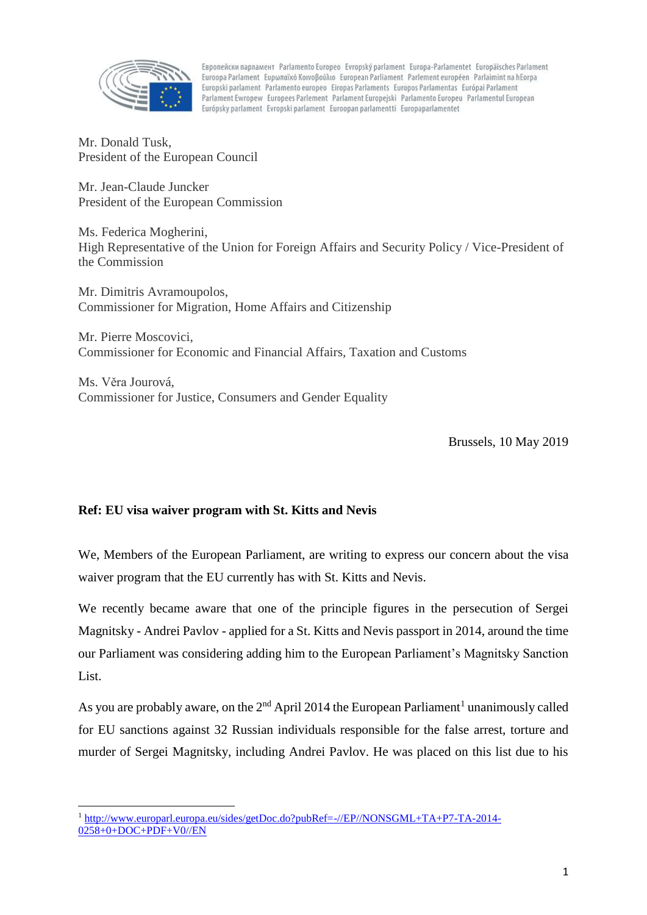

Европейски парламент Parlamento Europeo Evropský parlament Europa-Parlamentet Europäisches Parlament Euroopa Parlament Eupwnaïkó Koivoßoúλio European Parliament Parlement européen Parlaimint na hEorpa Europski parlament Parlamento europeo Eiropas Parlaments Europos Parlamentas Európai Parlament Parlament Ewropew Europees Parlement Parlament Europeiski Parlamento Europeu Parlamentul European Európsky parlament Evropski parlament Euroopan parlamentti Europaparlamentet

Mr. Donald Tusk, President of the European Council

Mr. Jean-Claude Juncker President of the European Commission

Ms. Federica Mogherini, High Representative of the Union for Foreign Affairs and Security Policy / Vice-President of the Commission

Mr. Dimitris Avramoupolos, Commissioner for Migration, Home Affairs and Citizenship

Mr. Pierre Moscovici, Commissioner for Economic and Financial Affairs, Taxation and Customs

Ms. Věra Jourová, Commissioner for Justice, Consumers and Gender Equality

Brussels, 10 May 2019

## **Ref: EU visa waiver program with St. Kitts and Nevis**

1

We, Members of the European Parliament, are writing to express our concern about the visa waiver program that the EU currently has with St. Kitts and Nevis.

We recently became aware that one of the principle figures in the persecution of Sergei Magnitsky - Andrei Pavlov - applied for a St. Kitts and Nevis passport in 2014, around the time our Parliament was considering adding him to the European Parliament's Magnitsky Sanction List.

As you are probably aware, on the  $2<sup>nd</sup>$  April 2014 the European Parliament<sup>1</sup> unanimously called for EU sanctions against 32 Russian individuals responsible for the false arrest, torture and murder of Sergei Magnitsky, including Andrei Pavlov. He was placed on this list due to his

<sup>&</sup>lt;sup>1</sup> [http://www.europarl.europa.eu/sides/getDoc.do?pubRef=-//EP//NONSGML+TA+P7-TA-2014-](http://www.europarl.europa.eu/sides/getDoc.do?pubRef=-//EP//NONSGML+TA+P7-TA-2014-0258+0+DOC+PDF+V0//EN) [0258+0+DOC+PDF+V0//EN](http://www.europarl.europa.eu/sides/getDoc.do?pubRef=-//EP//NONSGML+TA+P7-TA-2014-0258+0+DOC+PDF+V0//EN)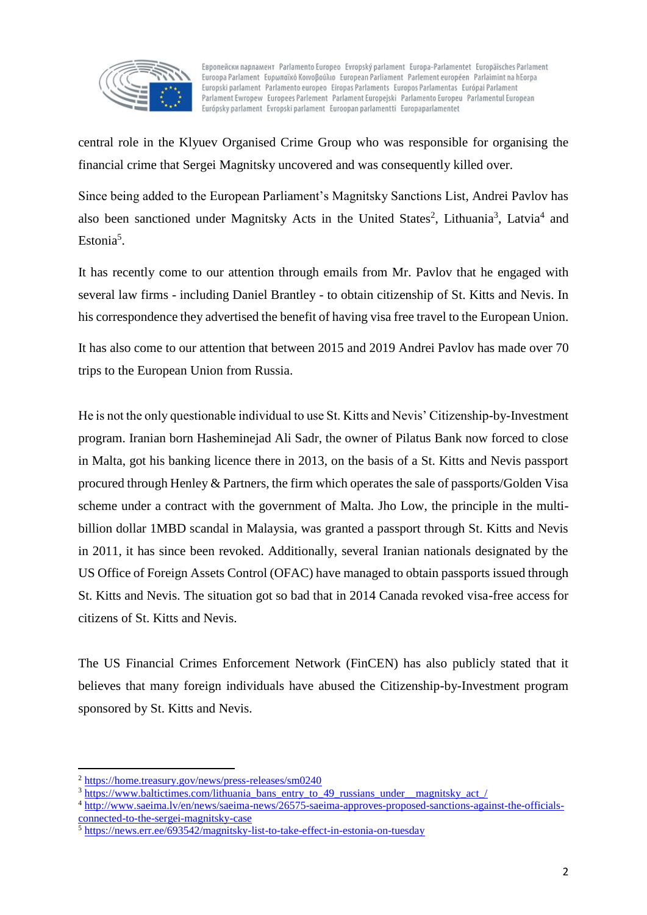

Европейски парламент Parlamento Europeo Evropský parlament Europa-Parlamentet Europäisches Parlament Euroopa Parlament Eupwnaïkó Koivoßoúλio European Parliament Parlement européen Parlaimint na hEorpa Europski parlament Parlamento europeo Eiropas Parlaments Europos Parlamentas Európai Parlament Parlament Ewropew Europees Parlement Parlament Europejski Parlamento Europeu Parlamentul European Európsky parlament Evropski parlament Euroopan parlamentti Europaparlamentet

central role in the Klyuev Organised Crime Group who was responsible for organising the financial crime that Sergei Magnitsky uncovered and was consequently killed over.

Since being added to the European Parliament's Magnitsky Sanctions List, Andrei Pavlov has also been sanctioned under Magnitsky Acts in the United States<sup>2</sup>, Lithuania<sup>3</sup>, Latvia<sup>4</sup> and Estonia<sup>5</sup>.

It has recently come to our attention through emails from Mr. Pavlov that he engaged with several law firms - including Daniel Brantley - to obtain citizenship of St. Kitts and Nevis. In his correspondence they advertised the benefit of having visa free travel to the European Union.

It has also come to our attention that between 2015 and 2019 Andrei Pavlov has made over 70 trips to the European Union from Russia.

He is not the only questionable individual to use St. Kitts and Nevis' Citizenship-by-Investment program. Iranian born Hasheminejad Ali Sadr, the owner of Pilatus Bank now forced to close in Malta, got his banking licence there in 2013, on the basis of a St. Kitts and Nevis passport procured through Henley & Partners, the firm which operates the sale of passports/Golden Visa scheme under a contract with the government of Malta. Jho Low, the principle in the multibillion dollar 1MBD scandal in Malaysia, was granted a passport through St. Kitts and Nevis in 2011, it has since been revoked. Additionally, several Iranian nationals designated by the US Office of Foreign Assets Control (OFAC) have managed to obtain passports issued through St. Kitts and Nevis. The situation got so bad that in 2014 Canada revoked visa-free access for citizens of St. Kitts and Nevis.

The US Financial Crimes Enforcement Network (FinCEN) has also publicly stated that it believes that many foreign individuals have abused the Citizenship-by-Investment program sponsored by St. Kitts and Nevis.

1

<sup>2</sup> <https://home.treasury.gov/news/press-releases/sm0240>

<sup>&</sup>lt;sup>3</sup> [https://www.baltictimes.com/lithuania\\_bans\\_entry\\_to\\_49\\_russians\\_under\\_\\_magnitsky\\_act\\_/](https://www.baltictimes.com/lithuania_bans_entry_to_49_russians_under__magnitsky_act_/)

<sup>4</sup> [http://www.saeima.lv/en/news/saeima-news/26575-saeima-approves-proposed-sanctions-against-the-officials](http://www.saeima.lv/en/news/saeima-news/26575-saeima-approves-proposed-sanctions-against-the-officials-connected-to-the-sergei-magnitsky-case)[connected-to-the-sergei-magnitsky-case](http://www.saeima.lv/en/news/saeima-news/26575-saeima-approves-proposed-sanctions-against-the-officials-connected-to-the-sergei-magnitsky-case)

<sup>&</sup>lt;sup>5</sup> <https://news.err.ee/693542/magnitsky-list-to-take-effect-in-estonia-on-tuesday>